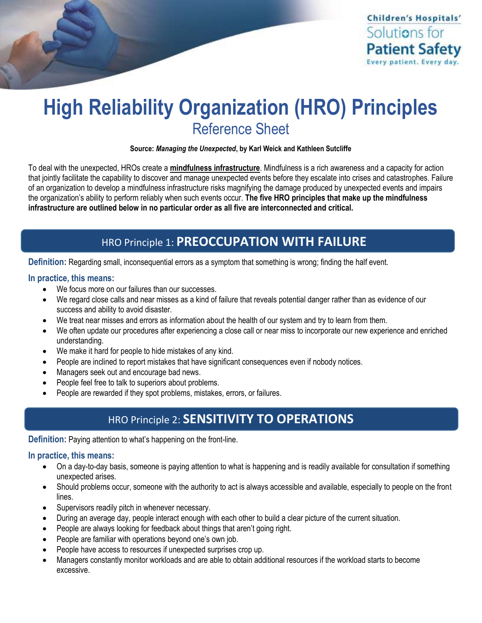

# **High Reliability Organization (HRO) Principles** Reference Sheet

**Source:** *Managing the Unexpected***, by Karl Weick and Kathleen Sutcliffe**

To deal with the unexpected, HROs create a **mindfulness infrastructure**. Mindfulness is a rich awareness and a capacity for action that jointly facilitate the capability to discover and manage unexpected events before they escalate into crises and catastrophes. Failure of an organization to develop a mindfulness infrastructure risks magnifying the damage produced by unexpected events and impairs the organization's ability to perform reliably when such events occur. **The five HRO principles that make up the mindfulness infrastructure are outlined below in no particular order as all five are interconnected and critical.** 

### HRO Principle 1: **PREOCCUPATION WITH FAILURE**

**Definition:** Regarding small, inconsequential errors as a symptom that something is wrong; finding the half event.

#### **In practice, this means:**

 $\overline{1}$ 

- We focus more on our failures than our successes.
- We regard close calls and near misses as a kind of failure that reveals potential danger rather than as evidence of our success and ability to avoid disaster.
- We treat near misses and errors as information about the health of our system and try to learn from them.
- We often update our procedures after experiencing a close call or near miss to incorporate our new experience and enriched understanding.
- We make it hard for people to hide mistakes of any kind.
- People are inclined to report mistakes that have significant consequences even if nobody notices.
- Managers seek out and encourage bad news.
- People feel free to talk to superiors about problems.
- People are rewarded if they spot problems, mistakes, errors, or failures.

### HRO Principle 2: **SENSITIVITY TO OPERATIONS**

**Definition:** Paying attention to what's happening on the front-line.

#### **In practice, this means:**

- On a day-to-day basis, someone is paying attention to what is happening and is readily available for consultation if something unexpected arises.
- Should problems occur, someone with the authority to act is always accessible and available, especially to people on the front lines.
- Supervisors readily pitch in whenever necessary.
- During an average day, people interact enough with each other to build a clear picture of the current situation.
- People are always looking for feedback about things that aren't going right.
- People are familiar with operations beyond one's own job.
- People have access to resources if unexpected surprises crop up.
- Managers constantly monitor workloads and are able to obtain additional resources if the workload starts to become excessive.